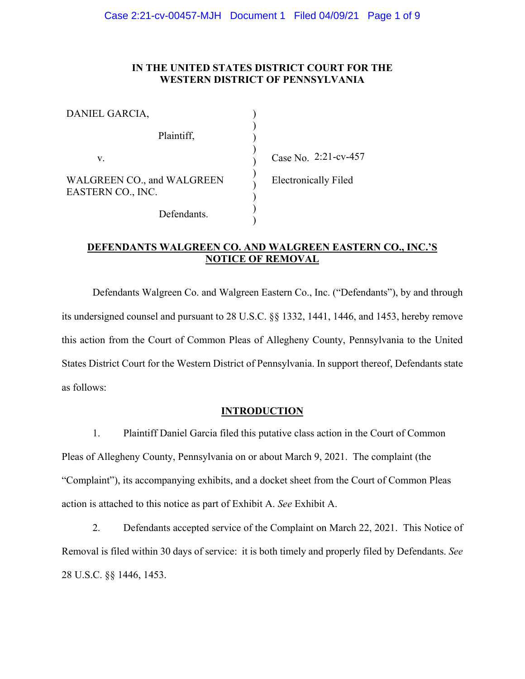## IN THE UNITED STATES DISTRICT COURT FOR THE **WESTERN DISTRICT OF PENNSYLVANIA**

| DANIEL GARCIA,                                  |         |
|-------------------------------------------------|---------|
| Plaintiff,                                      |         |
| V.                                              | Case N  |
| WALGREEN CO., and WALGREEN<br>EASTERN CO., INC. | Electro |
| Defendants.                                     |         |

 $\sqrt{0}$ , 2:21-cv-457

onically Filed

# DEFENDANTS WALGREEN CO. AND WALGREEN EASTERN CO., INC.'S **NOTICE OF REMOVAL**

Defendants Walgreen Co. and Walgreen Eastern Co., Inc. ("Defendants"), by and through its undersigned counsel and pursuant to 28 U.S.C. §§ 1332, 1441, 1446, and 1453, hereby remove this action from the Court of Common Pleas of Allegheny County, Pennsylvania to the United States District Court for the Western District of Pennsylvania. In support thereof, Defendants state as follows:

## **INTRODUCTION**

1. Plaintiff Daniel Garcia filed this putative class action in the Court of Common Pleas of Allegheny County, Pennsylvania on or about March 9, 2021. The complaint (the "Complaint"), its accompanying exhibits, and a docket sheet from the Court of Common Pleas action is attached to this notice as part of Exhibit A. See Exhibit A.

2. Defendants accepted service of the Complaint on March 22, 2021. This Notice of Removal is filed within 30 days of service: it is both timely and properly filed by Defendants. See 28 U.S.C. §§ 1446, 1453.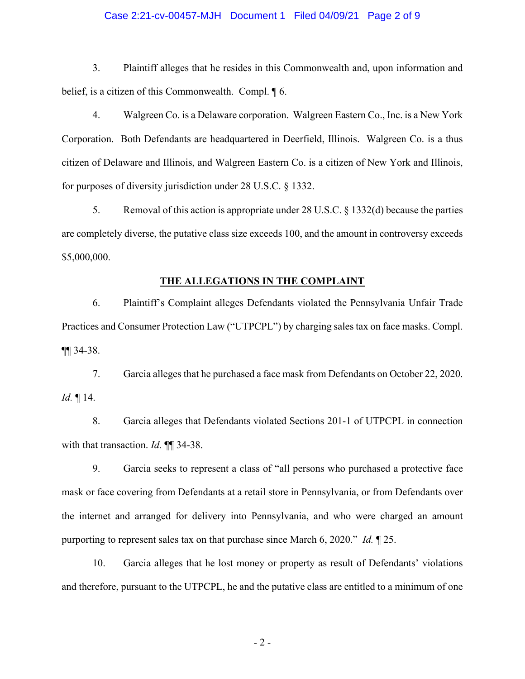## Case 2:21-cv-00457-MJH Document 1 Filed 04/09/21 Page 2 of 9

 $3.$ Plaintiff alleges that he resides in this Commonwealth and, upon information and belief, is a citizen of this Commonwealth. Compl.  $\oint$  6.

 $4.$ Walgreen Co. is a Delaware corporation. Walgreen Eastern Co., Inc. is a New York Corporation. Both Defendants are headquartered in Deerfield, Illinois. Walgreen Co. is a thus citizen of Delaware and Illinois, and Walgreen Eastern Co. is a citizen of New York and Illinois, for purposes of diversity jurisdiction under  $28$  U.S.C.  $\S$  1332.

5. Removal of this action is appropriate under 28 U.S.C.  $\S$  1332(d) because the parties are completely diverse, the putative class size exceeds 100, and the amount in controversy exceeds \$5,000,000.

## THE ALLEGATIONS IN THE COMPLAINT

6. Plaintiff's Complaint alleges Defendants violated the Pennsylvania Unfair Trade Practices and Consumer Protection Law ("UTPCPL") by charging sales tax on face masks. Compl.  $\P\P$ 34-38.

 $7<sub>1</sub>$ Garcia alleges that he purchased a face mask from Defendants on October 22, 2020. Id.  $\P$  14.

8. Garcia alleges that Defendants violated Sections 201-1 of UTPCPL in connection with that transaction. *Id.*  $\P\P$  34-38.

9. Garcia seeks to represent a class of "all persons who purchased a protective face" mask or face covering from Defendants at a retail store in Pennsylvania, or from Defendants over the internet and arranged for delivery into Pennsylvania, and who were charged an amount purporting to represent sales tax on that purchase since March 6, 2020." Id.  $\parallel$  25.

10. Garcia alleges that he lost money or property as result of Defendants' violations and therefore, pursuant to the UTPCPL, he and the putative class are entitled to a minimum of one

 $-2-$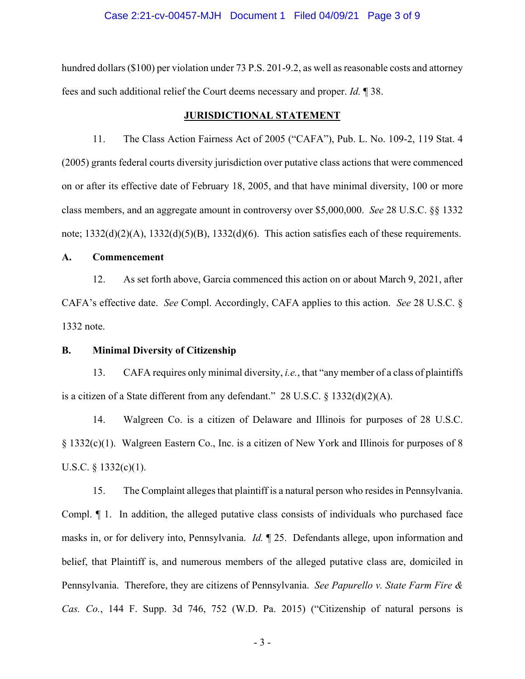#### Case 2:21-cv-00457-MJH Document 1 Filed 04/09/21 Page 3 of 9

hundred dollars (\$100) per violation under 73 P.S. 201-9.2, as well as reasonable costs and attorney fees and such additional relief the Court deems necessary and proper. *Id.* 138.

## **JURISDICTIONAL STATEMENT**

11. The Class Action Fairness Act of 2005 ("CAFA"), Pub. L. No. 109-2, 119 Stat. 4 (2005) grants federal courts diversity jurisdiction over putative class actions that were commenced on or after its effective date of February 18, 2005, and that have minimal diversity, 100 or more class members, and an aggregate amount in controversy over \$5,000,000. See 28 U.S.C. §§ 1332 note;  $1332(d)(2)(A)$ ,  $1332(d)(5)(B)$ ,  $1332(d)(6)$ . This action satisfies each of these requirements.

#### $\mathbf{A}$ . Commencement

As set forth above, Garcia commenced this action on or about March 9, 2021, after 12. CAFA's effective date. See Compl. Accordingly, CAFA applies to this action. See 28 U.S.C. § 1332 note.

#### **B. Minimal Diversity of Citizenship**

13. CAFA requires only minimal diversity, *i.e.*, that "any member of a class of plaintiffs" is a citizen of a State different from any defendant." 28 U.S.C.  $\S$  1332(d)(2)(A).

14. Walgreen Co. is a citizen of Delaware and Illinois for purposes of 28 U.S.C. § 1332(c)(1). Walgreen Eastern Co., Inc. is a citizen of New York and Illinois for purposes of 8 U.S.C.  $§$  1332(c)(1).

15. The Complaint alleges that plaintiff is a natural person who resides in Pennsylvania. Compl.  $\P$  1. In addition, the alleged putative class consists of individuals who purchased face masks in, or for delivery into, Pennsylvania. *Id.* 125. Defendants allege, upon information and belief, that Plaintiff is, and numerous members of the alleged putative class are, domiciled in Pennsylvania. Therefore, they are citizens of Pennsylvania. See Papurello v. State Farm Fire & Cas. Co., 144 F. Supp. 3d 746, 752 (W.D. Pa. 2015) ("Citizenship of natural persons is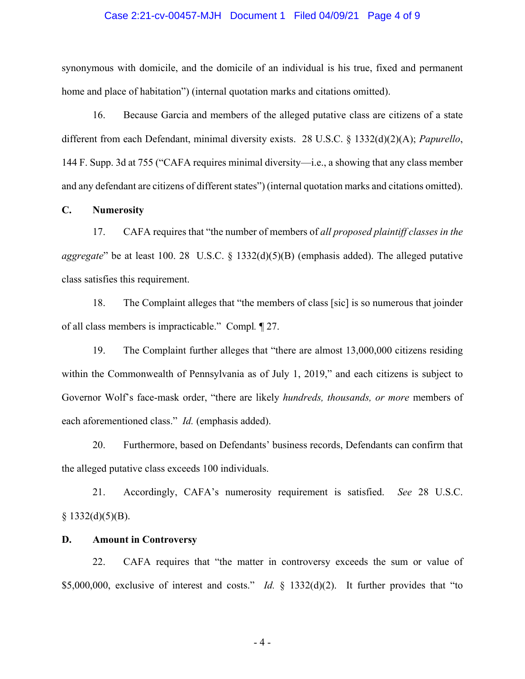## Case 2:21-cv-00457-MJH Document 1 Filed 04/09/21 Page 4 of 9

synonymous with domicile, and the domicile of an individual is his true, fixed and permanent home and place of habitation") (internal quotation marks and citations omitted).

16. Because Garcia and members of the alleged putative class are citizens of a state different from each Defendant, minimal diversity exists. 28 U.S.C. § 1332(d)(2)(A); *Papurello*, 144 F. Supp. 3d at 755 ("CAFA requires minimal diversity—i.e., a showing that any class member and any defendant are citizens of different states") (internal quotation marks and citations omitted).

**C. Numerosity** 

17. CAFA requires that "the number of members of all proposed plaintiff classes in the *aggregate*" be at least 100. 28 U.S.C.  $\S$  1332(d)(5)(B) (emphasis added). The alleged putative class satisfies this requirement.

18. The Complaint alleges that "the members of class [sic] is so numerous that joinder of all class members is impracticable." Compl. 127.

19. The Complaint further alleges that "there are almost 13,000,000 citizens residing within the Commonwealth of Pennsylvania as of July 1, 2019," and each citizens is subject to Governor Wolf's face-mask order, "there are likely *hundreds, thousands, or more* members of each aforementioned class." *Id.* (emphasis added).

20. Furthermore, based on Defendants' business records, Defendants can confirm that the alleged putative class exceeds 100 individuals.

21. Accordingly, CAFA's numerosity requirement is satisfied. See 28 U.S.C.  $\S$  1332(d)(5)(B).

## **D.** Amount in Controversy

22. CAFA requires that "the matter in controversy exceeds the sum or value of \$5,000,000, exclusive of interest and costs." *Id.* § 1332(d)(2). It further provides that "to

 $-4-$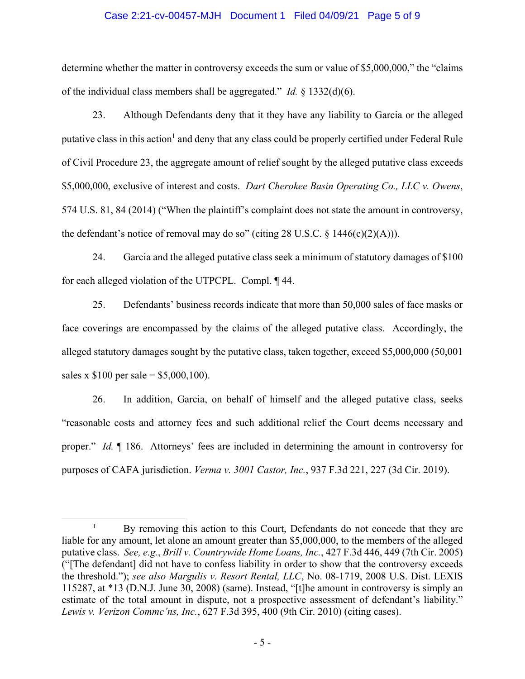## Case 2:21-cv-00457-MJH Document 1 Filed 04/09/21 Page 5 of 9

determine whether the matter in controversy exceeds the sum or value of \$5,000,000," the "claims" of the individual class members shall be aggregated." *Id.*  $\frac{1}{2}$  1332(d)(6).

23. Although Defendants deny that it they have any liability to Garcia or the alleged putative class in this action<sup>1</sup> and deny that any class could be properly certified under Federal Rule of Civil Procedure 23, the aggregate amount of relief sought by the alleged putative class exceeds \$5,000,000, exclusive of interest and costs. Dart Cherokee Basin Operating Co., LLC v. Owens, 574 U.S. 81, 84 (2014) ("When the plaintiff's complaint does not state the amount in controversy, the defendant's notice of removal may do so" (citing 28 U.S.C.  $\S$  1446(c)(2)(A))).

24. Garcia and the alleged putative class seek a minimum of statutory damages of \$100 for each alleged violation of the UTPCPL. Compl. 144.

25. Defendants' business records indicate that more than 50,000 sales of face masks or face coverings are encompassed by the claims of the alleged putative class. Accordingly, the alleged statutory damages sought by the putative class, taken together, exceed \$5,000,000 (50,001) sales x  $$100$  per sale = \$5,000,100).

26. In addition, Garcia, on behalf of himself and the alleged putative class, seeks "reasonable costs and attorney fees and such additional relief the Court deems necessary and proper." Id. ¶ 186. Attorneys' fees are included in determining the amount in controversy for purposes of CAFA jurisdiction. Verma v. 3001 Castor, Inc., 937 F.3d 221, 227 (3d Cir. 2019).

 $\mathbf{1}$ By removing this action to this Court, Defendants do not concede that they are liable for any amount, let alone an amount greater than \$5,000,000, to the members of the alleged putative class. See, e.g., Brill v. Countrywide Home Loans, Inc., 427 F.3d 446, 449 (7th Cir. 2005) "The defendant] did not have to confess liability in order to show that the controversy exceeds the threshold."); see also Margulis v. Resort Rental, LLC, No. 08-1719, 2008 U.S. Dist. LEXIS 115287, at \*13 (D.N.J. June 30, 2008) (same). Instead, "[t]he amount in controversy is simply an estimate of the total amount in dispute, not a prospective assessment of defendant's liability." Lewis v. Verizon Commc'ns, Inc., 627 F.3d 395, 400 (9th Cir. 2010) (citing cases).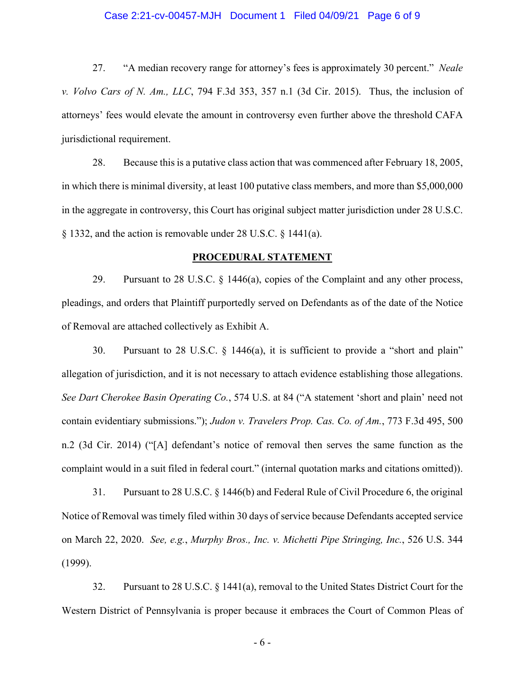## Case 2:21-cv-00457-MJH Document 1 Filed 04/09/21 Page 6 of 9

27. "A median recovery range for attorney's fees is approximately 30 percent." Neale v. Volvo Cars of N. Am., LLC, 794 F.3d 353, 357 n.1 (3d Cir. 2015). Thus, the inclusion of attorneys' fees would elevate the amount in controversy even further above the threshold CAFA jurisdictional requirement.

28. Because this is a putative class action that was commenced after February 18, 2005, in which there is minimal diversity, at least 100 putative class members, and more than \$5,000,000 in the aggregate in controversy, this Court has original subject matter jurisdiction under 28 U.S.C.  $\S$  1332, and the action is removable under 28 U.S.C.  $\S$  1441(a).

## PROCEDURAL STATEMENT

29. Pursuant to 28 U.S.C.  $\S$  1446(a), copies of the Complaint and any other process, pleadings, and orders that Plaintiff purportedly served on Defendants as of the date of the Notice of Removal are attached collectively as Exhibit A.

30. Pursuant to 28 U.S.C.  $\S$  1446(a), it is sufficient to provide a "short and plain" allegation of jurisdiction, and it is not necessary to attach evidence establishing those allegations. See Dart Cherokee Basin Operating Co., 574 U.S. at 84 ("A statement 'short and plain' need not contain evidentiary submissions."); Judon v. Travelers Prop. Cas. Co. of Am., 773 F.3d 495, 500 n.2 (3d Cir. 2014) ("[A] defendant's notice of removal then serves the same function as the complaint would in a suit filed in federal court." (internal quotation marks and citations omitted)).

31. Pursuant to 28 U.S.C. § 1446(b) and Federal Rule of Civil Procedure 6, the original Notice of Removal was timely filed within 30 days of service because Defendants accepted service on March 22, 2020. See, e.g., Murphy Bros., Inc. v. Michetti Pipe Stringing, Inc., 526 U.S. 344  $(1999).$ 

32. Pursuant to 28 U.S.C. § 1441(a), removal to the United States District Court for the Western District of Pennsylvania is proper because it embraces the Court of Common Pleas of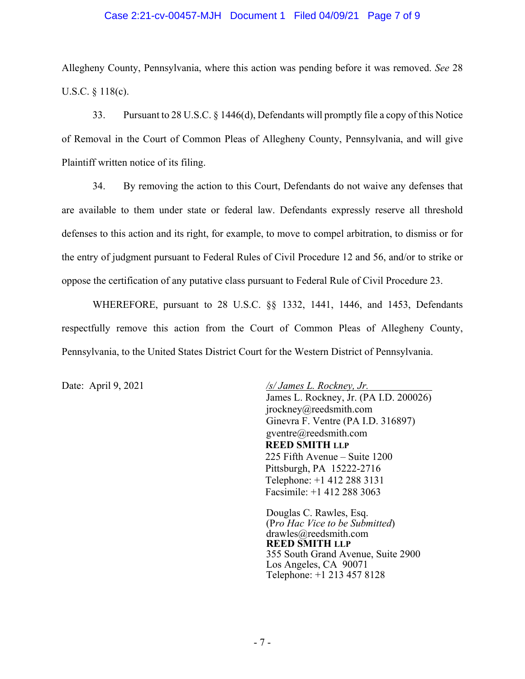## Case 2:21-cv-00457-MJH Document 1 Filed 04/09/21 Page 7 of 9

Allegheny County, Pennsylvania, where this action was pending before it was removed. See 28 U.S.C.  $§$  118(c).

33. Pursuant to 28 U.S.C. § 1446(d), Defendants will promptly file a copy of this Notice of Removal in the Court of Common Pleas of Allegheny County, Pennsylvania, and will give Plaintiff written notice of its filing.

34. By removing the action to this Court, Defendants do not waive any defenses that are available to them under state or federal law. Defendants expressly reserve all threshold defenses to this action and its right, for example, to move to compel arbitration, to dismiss or for the entry of judgment pursuant to Federal Rules of Civil Procedure 12 and 56, and/or to strike or oppose the certification of any putative class pursuant to Federal Rule of Civil Procedure 23.

WHEREFORE, pursuant to 28 U.S.C. §§ 1332, 1441, 1446, and 1453, Defendants respectfully remove this action from the Court of Common Pleas of Allegheny County, Pennsylvania, to the United States District Court for the Western District of Pennsylvania.

Date: April 9, 2021

/s/ James L. Rockney, Jr. James L. Rockney, Jr. (PA I.D. 200026)  $i$ rockney@reedsmith.com Ginevra F. Ventre (PA I.D. 316897) gventre@reedsmith.com **REED SMITH LLP** 225 Fifth Avenue – Suite 1200 Pittsburgh, PA 15222-2716 Telephone: +1 412 288 3131 Facsimile:  $+1$  412 288 3063

Douglas C. Rawles, Esq. (Pro Hac Vice to be Submitted)  $drawles@reedsmith.com$ **REED SMITH LLP** 355 South Grand Avenue, Suite 2900 Los Angeles, CA 90071 Telephone: +1 213 457 8128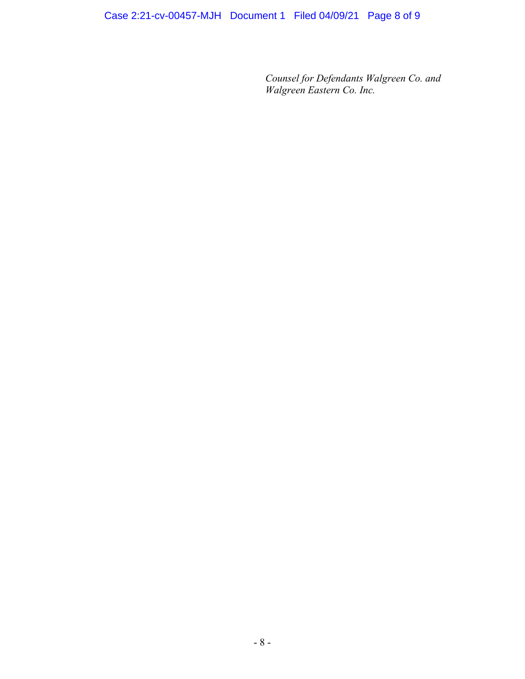*Counsel for Defendants Walgreen Co. and Walgreen Eastern Co. Inc.*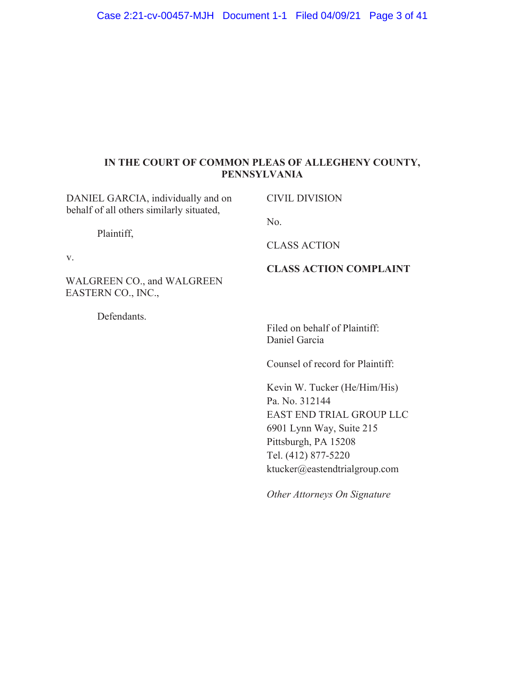# IN THE COURT OF COMMON PLEAS OF ALLEGHENY COUNTY, PENNSYLVANIA

| DANIEL GARCIA, individually and on<br>behalf of all others similarly situated, | <b>CIVIL DIVISION</b>                                                                                                                                                                         |
|--------------------------------------------------------------------------------|-----------------------------------------------------------------------------------------------------------------------------------------------------------------------------------------------|
| Plaintiff,<br>V.                                                               | No.                                                                                                                                                                                           |
|                                                                                | <b>CLASS ACTION</b>                                                                                                                                                                           |
| WALGREEN CO., and WALGREEN<br>EASTERN CO., INC.,                               | <b>CLASS ACTION COMPLAINT</b>                                                                                                                                                                 |
| Defendants.                                                                    | Filed on behalf of Plaintiff:<br>Daniel Garcia                                                                                                                                                |
|                                                                                | Counsel of record for Plaintiff:                                                                                                                                                              |
|                                                                                | Kevin W. Tucker (He/Him/His)<br>Pa. No. 312144<br><b>EAST END TRIAL GROUP LLC</b><br>6901 Lynn Way, Suite 215<br>Pittsburgh, PA 15208<br>Tel. (412) 877-5220<br>ktucker@eastendtrialgroup.com |

*Other Attorneys On Signature*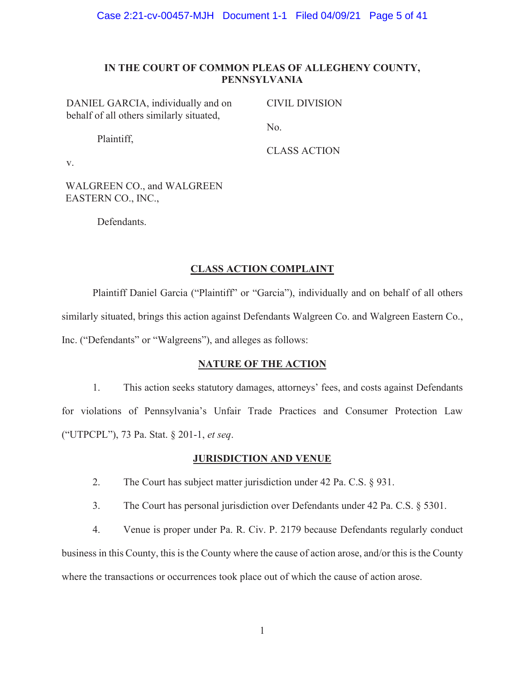## IN THE COURT OF COMMON PLEAS OF ALLEGHENY COUNTY, **PENNSYLVANIA**

DANIEL GARCIA, individually and on behalf of all others similarly situated,

**CIVIL DIVISION** 

Plaintiff,

No.

**CLASS ACTION** 

 $V_{\star}$ 

**WALGREEN CO., and WALGREEN** EASTERN CO., INC.,

Defendants.

## **CLASS ACTION COMPLAINT**

Plaintiff Daniel Garcia ("Plaintiff" or "Garcia"), individually and on behalf of all others similarly situated, brings this action against Defendants Walgreen Co. and Walgreen Eastern Co., Inc. ("Defendants" or "Walgreens"), and alleges as follows:

# **NATURE OF THE ACTION**

 $1.$ This action seeks statutory damages, attorneys' fees, and costs against Defendants for violations of Pennsylvania's Unfair Trade Practices and Consumer Protection Law ("UTPCPL"), 73 Pa. Stat. § 201-1, et seq.

## **JURISDICTION AND VENUE**

- $2.$ The Court has subject matter jurisdiction under 42 Pa. C.S.  $\S$  931.
- $3.$ The Court has personal jurisdiction over Defendants under 42 Pa. C.S. § 5301.

 $4.$ Venue is proper under Pa. R. Civ. P. 2179 because Defendants regularly conduct business in this County, this is the County where the cause of action arose, and/or this is the County where the transactions or occurrences took place out of which the cause of action arose.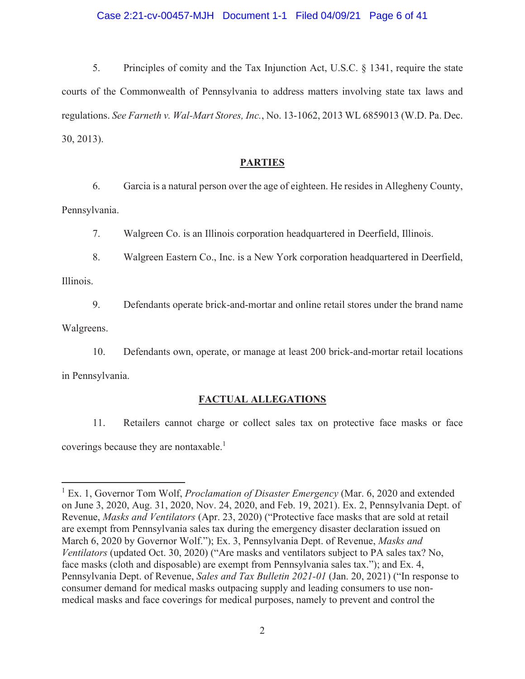## Case 2:21-cv-00457-MJH Document 1-1 Filed 04/09/21 Page 6 of 41

5. Principles of comity and the Tax Injunction Act, U.S.C.  $\S$  1341, require the state courts of the Commonwealth of Pennsylvania to address matters involving state tax laws and regulations. See Farneth v. Wal-Mart Stores, Inc., No. 13-1062, 2013 WL 6859013 (W.D. Pa. Dec.  $30, 2013$ ).

## **PARTIES**

6. Garcia is a natural person over the age of eighteen. He resides in Allegheny County, Pennsylvania.

7. Walgreen Co. is an Illinois corporation headquartered in Deerfield, Illinois.

8. Walgreen Eastern Co., Inc. is a New York corporation headquartered in Deerfield,

Illinois.

9. Defendants operate brick-and-mortar and online retail stores under the brand name

Walgreens.

10. Defendants own, operate, or manage at least 200 brick-and-mortar retail locations in Pennsylvania.

## FACTUAL ALLEGATIONS

11. Retailers cannot charge or collect sales tax on protective face masks or face coverings because they are nontaxable.<sup>1</sup>

<sup>&</sup>lt;sup>1</sup> Ex. 1, Governor Tom Wolf, *Proclamation of Disaster Emergency* (Mar. 6, 2020 and extended on June 3, 2020, Aug. 31, 2020, Nov. 24, 2020, and Feb. 19, 2021). Ex. 2, Pennsylvania Dept. of Revenue, Masks and Ventilators (Apr. 23, 2020) ("Protective face masks that are sold at retail are exempt from Pennsylvania sales tax during the emergency disaster declaration issued on March 6, 2020 by Governor Wolf."); Ex. 3, Pennsylvania Dept. of Revenue, Masks and Ventilators (updated Oct. 30, 2020) ("Are masks and ventilators subject to PA sales tax? No, face masks (cloth and disposable) are exempt from Pennsylvania sales tax."); and Ex. 4, Pennsylvania Dept. of Revenue, Sales and Tax Bulletin 2021-01 (Jan. 20, 2021) ("In response to consumer demand for medical masks outpacing supply and leading consumers to use nonmedical masks and face coverings for medical purposes, namely to prevent and control the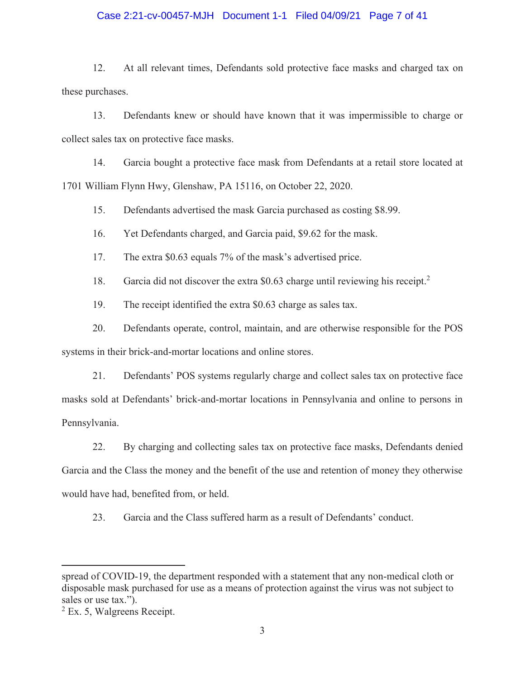## Case 2:21-cv-00457-MJH Document 1-1 Filed 04/09/21 Page 7 of 41

 $12.$ At all relevant times, Defendants sold protective face masks and charged tax on these purchases.

13. Defendants knew or should have known that it was impermissible to charge or collect sales tax on protective face masks.

 $14.$ Garcia bought a protective face mask from Defendants at a retail store located at 1701 William Flynn Hwy, Glenshaw, PA 15116, on October 22, 2020.

15. Defendants advertised the mask Garcia purchased as costing \$8.99.

16. Yet Defendants charged, and Garcia paid, \$9.62 for the mask.

17. The extra \$0.63 equals 7% of the mask's advertised price.

18. Garcia did not discover the extra \$0.63 charge until reviewing his receipt.<sup>2</sup>

19. The receipt identified the extra \$0.63 charge as sales tax.

20. Defendants operate, control, maintain, and are otherwise responsible for the POS systems in their brick-and-mortar locations and online stores.

21. Defendants' POS systems regularly charge and collect sales tax on protective face masks sold at Defendants' brick-and-mortar locations in Pennsylvania and online to persons in Pennsylvania.

22. By charging and collecting sales tax on protective face masks, Defendants denied Garcia and the Class the money and the benefit of the use and retention of money they otherwise would have had, benefited from, or held.

23. Garcia and the Class suffered harm as a result of Defendants' conduct.

spread of COVID-19, the department responded with a statement that any non-medical cloth or disposable mask purchased for use as a means of protection against the virus was not subject to sales or use tax.").

 $2$  Ex. 5, Walgreens Receipt.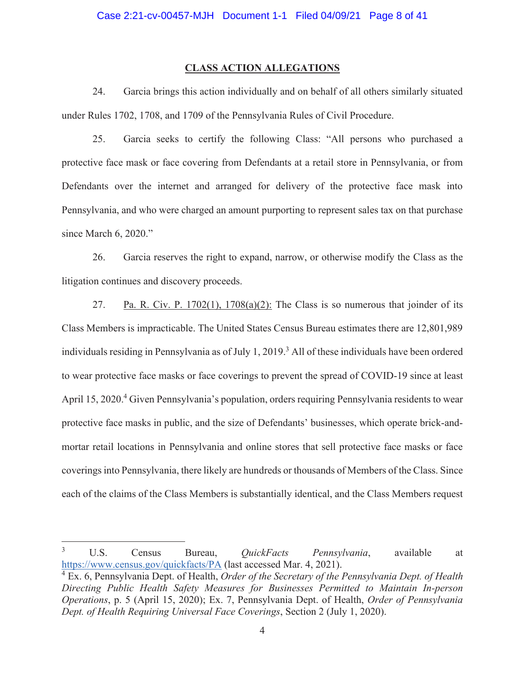## **CLASS ACTION ALLEGATIONS**

24. Garcia brings this action individually and on behalf of all others similarly situated under Rules 1702, 1708, and 1709 of the Pennsylvania Rules of Civil Procedure.

 $25<sub>1</sub>$ Garcia seeks to certify the following Class: "All persons who purchased a protective face mask or face covering from Defendants at a retail store in Pennsylvania, or from Defendants over the internet and arranged for delivery of the protective face mask into Pennsylvania, and who were charged an amount purporting to represent sales tax on that purchase since March 6, 2020."

26. Garcia reserves the right to expand, narrow, or otherwise modify the Class as the litigation continues and discovery proceeds.

27. Pa. R. Civ. P. 1702(1),  $1708(a)(2)$ : The Class is so numerous that joinder of its Class Members is impracticable. The United States Census Bureau estimates there are 12,801,989 individuals residing in Pennsylvania as of July 1, 2019.<sup>3</sup> All of these individuals have been ordered to wear protective face masks or face coverings to prevent the spread of COVID-19 since at least April 15, 2020.<sup>4</sup> Given Pennsylvania's population, orders requiring Pennsylvania residents to wear protective face masks in public, and the size of Defendants' businesses, which operate brick-andmortar retail locations in Pennsylvania and online stores that sell protective face masks or face coverings into Pennsylvania, there likely are hundreds or thousands of Members of the Class. Since each of the claims of the Class Members is substantially identical, and the Class Members request

 $\mathfrak{Z}$ U.S. Census *OuickFacts* Bureau, Pennsylvania, available at https://www.census.gov/quickfacts/PA (last accessed Mar. 4, 2021).

 $4$  Ex. 6, Pennsylvania Dept. of Health, *Order of the Secretary of the Pennsylvania Dept. of Health* Directing Public Health Safety Measures for Businesses Permitted to Maintain In-person Operations, p. 5 (April 15, 2020); Ex. 7, Pennsylvania Dept. of Health, Order of Pennsylvania Dept. of Health Requiring Universal Face Coverings, Section 2 (July 1, 2020).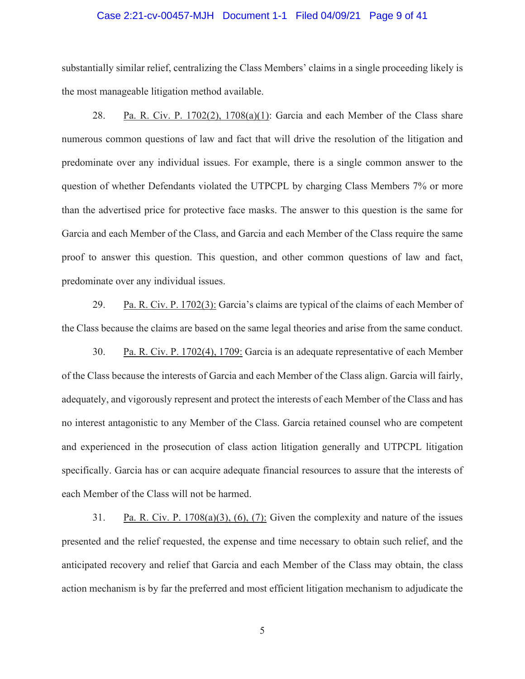## Case 2:21-cv-00457-MJH Document 1-1 Filed 04/09/21 Page 9 of 41

substantially similar relief, centralizing the Class Members' claims in a single proceeding likely is the most manageable litigation method available.

28. Pa. R. Civ. P. 1702(2), 1708(a)(1): Garcia and each Member of the Class share numerous common questions of law and fact that will drive the resolution of the litigation and predominate over any individual issues. For example, there is a single common answer to the question of whether Defendants violated the UTPCPL by charging Class Members 7% or more than the advertised price for protective face masks. The answer to this question is the same for Garcia and each Member of the Class, and Garcia and each Member of the Class require the same proof to answer this question. This question, and other common questions of law and fact, predominate over any individual issues.

29. Pa. R. Civ. P. 1702(3): Garcia's claims are typical of the claims of each Member of the Class because the claims are based on the same legal theories and arise from the same conduct.

30. Pa. R. Civ. P. 1702(4), 1709: Garcia is an adequate representative of each Member of the Class because the interests of Garcia and each Member of the Class align. Garcia will fairly, adequately, and vigorously represent and protect the interests of each Member of the Class and has no interest antagonistic to any Member of the Class. Garcia retained counsel who are competent and experienced in the prosecution of class action litigation generally and UTPCPL litigation specifically. Garcia has or can acquire adequate financial resources to assure that the interests of each Member of the Class will not be harmed.

31. Pa. R. Civ. P.  $1708(a)(3)$ , (6), (7): Given the complexity and nature of the issues presented and the relief requested, the expense and time necessary to obtain such relief, and the anticipated recovery and relief that Garcia and each Member of the Class may obtain, the class action mechanism is by far the preferred and most efficient litigation mechanism to adjudicate the

5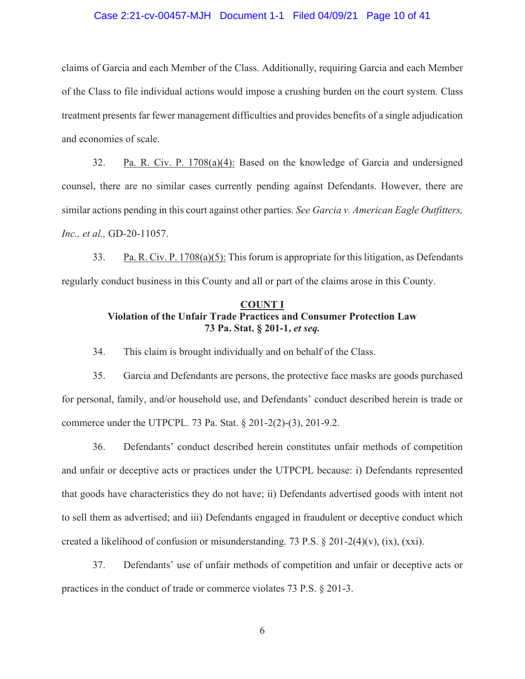## Case 2:21-cv-00457-MJH Document 1-1 Filed 04/09/21 Page 10 of 41

claims of Garcia and each Member of the Class. Additionally, requiring Garcia and each Member of the Class to file individual actions would impose a crushing burden on the court system. Class treatment presents far fewer management difficulties and provides benefits of a single adjudication and economies of scale.

32. Pa. R. Civ. P.  $1708(a)(4)$ : Based on the knowledge of Garcia and undersigned counsel, there are no similar cases currently pending against Defendants. However, there are similar actions pending in this court against other parties. See Garcia v. American Eagle Outfitters, Inc., et al., GD-20-11057.

33. Pa. R. Civ. P.  $1708(a)(5)$ : This forum is appropriate for this litigation, as Defendants regularly conduct business in this County and all or part of the claims arose in this County.

## **COUNT I Violation of the Unfair Trade Practices and Consumer Protection Law** 73 Pa. Stat. § 201-1, et seq.

34. This claim is brought individually and on behalf of the Class.

35. Garcia and Defendants are persons, the protective face masks are goods purchased for personal, family, and/or household use, and Defendants' conduct described herein is trade or commerce under the UTPCPL. 73 Pa. Stat. § 201-2(2)-(3), 201-9.2.

36. Defendants' conduct described herein constitutes unfair methods of competition and unfair or deceptive acts or practices under the UTPCPL because: i) Defendants represented that goods have characteristics they do not have; ii) Defendants advertised goods with intent not to sell them as advertised; and iii) Defendants engaged in fraudulent or deceptive conduct which created a likelihood of confusion or misunderstanding. 73 P.S. § 201-2(4)(v), (ix), (xxi).

37. Defendants' use of unfair methods of competition and unfair or deceptive acts or practices in the conduct of trade or commerce violates 73 P.S.  $\S 201-3$ .

6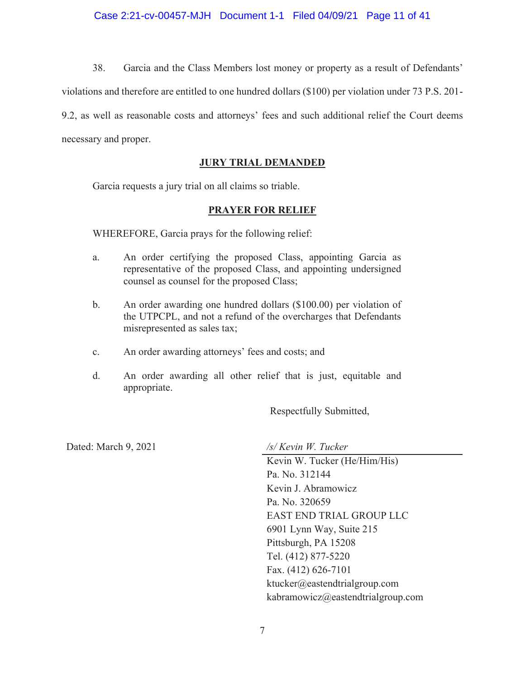38. Garcia and the Class Members lost money or property as a result of Defendants'

violations and therefore are entitled to one hundred dollars (\$100) per violation under 73 P.S. 201-

9.2, as well as reasonable costs and attorneys' fees and such additional relief the Court deems necessary and proper.

# **JURY TRIAL DEMANDED**

Garcia requests a jury trial on all claims so triable.

# **PRAYER FOR RELIEF**

WHEREFORE, Garcia prays for the following relief:

- An order certifying the proposed Class, appointing Garcia as a. representative of the proposed Class, and appointing undersigned counsel as counsel for the proposed Class;
- $\mathbf{b}$ . An order awarding one hundred dollars (\$100.00) per violation of the UTPCPL, and not a refund of the overcharges that Defendants misrepresented as sales tax;
- An order awarding attorneys' fees and costs; and c.
- $d_{\cdot}$ An order awarding all other relief that is just, equitable and appropriate.

Respectfully Submitted,

Dated: March 9, 2021

/s/ Kevin W. Tucker

Kevin W. Tucker (He/Him/His) Pa. No. 312144 Kevin J. Abramowicz Pa. No. 320659 EAST END TRIAL GROUP LLC 6901 Lynn Way, Suite 215 Pittsburgh, PA 15208 Tel. (412) 877-5220 Fax. (412) 626-7101 ktucker@eastendtrialgroup.com kabramowicz@eastendtrialgroup.com